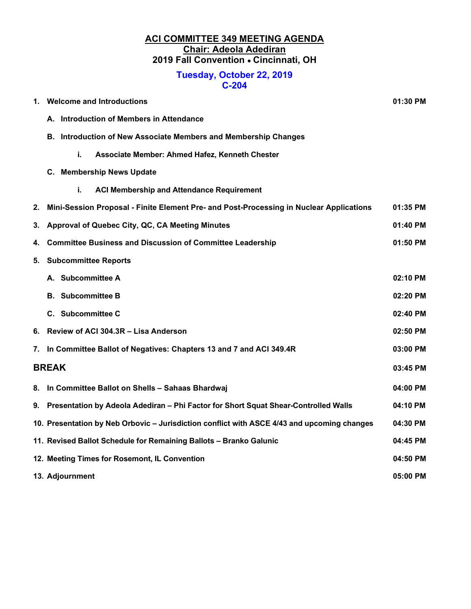#### ACI COMMITTEE 349 MEETING AGENDA Chair: Adeola Adediran 2019 Fall Convention . Cincinnati, OH

#### Tuesday, October 22, 2019 C-204

| 1.           | <b>Welcome and Introductions</b><br>01:30 PM                                                            |          |  |  |  |
|--------------|---------------------------------------------------------------------------------------------------------|----------|--|--|--|
|              | A. Introduction of Members in Attendance                                                                |          |  |  |  |
|              | B. Introduction of New Associate Members and Membership Changes                                         |          |  |  |  |
|              | i.<br>Associate Member: Ahmed Hafez, Kenneth Chester                                                    |          |  |  |  |
|              | C. Membership News Update                                                                               |          |  |  |  |
|              | i.<br><b>ACI Membership and Attendance Requirement</b>                                                  |          |  |  |  |
| 2.           | Mini-Session Proposal - Finite Element Pre- and Post-Processing in Nuclear Applications                 | 01:35 PM |  |  |  |
| З.           | Approval of Quebec City, QC, CA Meeting Minutes<br>01:40 PM                                             |          |  |  |  |
| 4.           | <b>Committee Business and Discussion of Committee Leadership</b>                                        | 01:50 PM |  |  |  |
| 5.           | <b>Subcommittee Reports</b>                                                                             |          |  |  |  |
|              | A. Subcommittee A                                                                                       | 02:10 PM |  |  |  |
|              | <b>B.</b> Subcommittee B                                                                                | 02:20 PM |  |  |  |
|              | C. Subcommittee C<br>02:40 PM                                                                           |          |  |  |  |
| 6.           | Review of ACI 304.3R - Lisa Anderson<br>$02:50$ PM                                                      |          |  |  |  |
| 7.           | In Committee Ballot of Negatives: Chapters 13 and 7 and ACI 349.4R<br>03:00 PM                          |          |  |  |  |
| <b>BREAK</b> |                                                                                                         | 03:45 PM |  |  |  |
| 8.           | In Committee Ballot on Shells - Sahaas Bhardwaj                                                         | 04:00 PM |  |  |  |
| 9.           | Presentation by Adeola Adediran - Phi Factor for Short Squat Shear-Controlled Walls<br>04:10 PM         |          |  |  |  |
|              | 10. Presentation by Neb Orbovic - Jurisdiction conflict with ASCE 4/43 and upcoming changes<br>04:30 PM |          |  |  |  |
|              | 11. Revised Ballot Schedule for Remaining Ballots - Branko Galunic<br>04:45 PM                          |          |  |  |  |
|              | 04:50 PM<br>12. Meeting Times for Rosemont, IL Convention                                               |          |  |  |  |
|              | 13. Adjournment<br>05:00 PM                                                                             |          |  |  |  |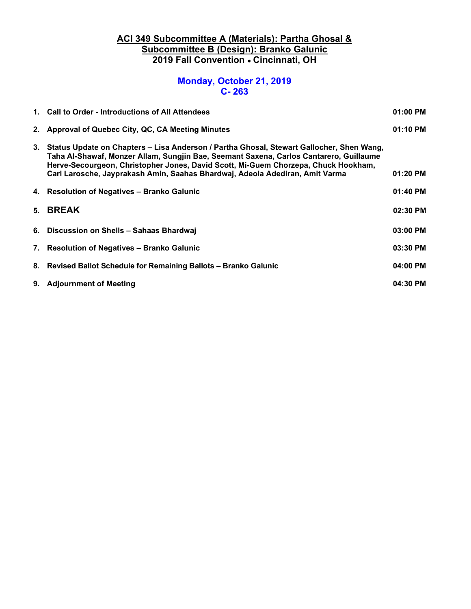### ACI 349 Subcommittee A (Materials): Partha Ghosal & Subcommittee B (Design): Branko Galunic 2019 Fall Convention . Cincinnati, OH

# Monday, October 21, 2019 C- 263

| 1. Call to Order - Introductions of All Attendees                                                                                                                                                                                                                                                                                                           | 01:00 PM |
|-------------------------------------------------------------------------------------------------------------------------------------------------------------------------------------------------------------------------------------------------------------------------------------------------------------------------------------------------------------|----------|
| 2. Approval of Quebec City, QC, CA Meeting Minutes                                                                                                                                                                                                                                                                                                          | 01:10 PM |
| 3. Status Update on Chapters – Lisa Anderson / Partha Ghosal, Stewart Gallocher, Shen Wang,<br>Taha Al-Shawaf, Monzer Allam, Sungjin Bae, Seemant Saxena, Carlos Cantarero, Guillaume<br>Herve-Secourgeon, Christopher Jones, David Scott, Mi-Guem Chorzepa, Chuck Hookham,<br>Carl Larosche, Jayprakash Amin, Saahas Bhardwaj, Adeola Adediran, Amit Varma | 01:20 PM |
| 4. Resolution of Negatives - Branko Galunic                                                                                                                                                                                                                                                                                                                 | 01:40 PM |
| 5. BREAK                                                                                                                                                                                                                                                                                                                                                    | 02:30 PM |
| 6. Discussion on Shells - Sahaas Bhardwaj                                                                                                                                                                                                                                                                                                                   | 03:00 PM |
| 7. Resolution of Negatives - Branko Galunic                                                                                                                                                                                                                                                                                                                 | 03:30 PM |
| 8. Revised Ballot Schedule for Remaining Ballots – Branko Galunic                                                                                                                                                                                                                                                                                           | 04:00 PM |
| 9. Adjournment of Meeting                                                                                                                                                                                                                                                                                                                                   | 04:30 PM |